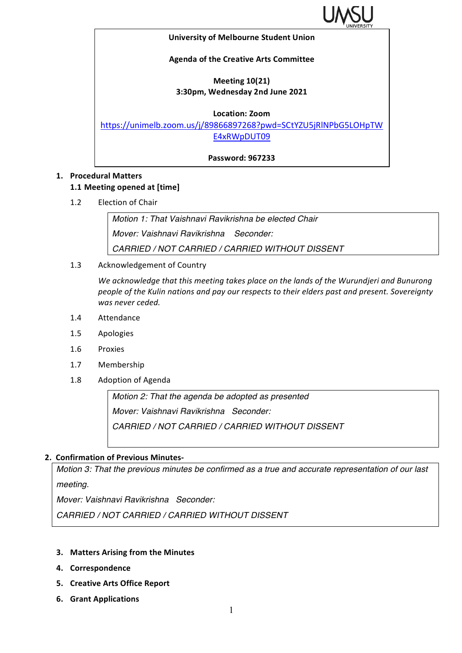

#### **University of Melbourne Student Union**

### **Agenda of the Creative Arts Committee**

## **Meeting 10(21) 3:30pm, Wednesday 2nd June 2021**

**Location: Zoom**

https://unimelb.zoom.us/j/89866897268?pwd=SCtYZU5jRlNPbG5LOHpTW E4xRWpDUT09

**Password: 967233**

## **1. Procedural Matters**

### **1.1 Meeting opened at [time]**

1.2 Election of Chair

*Motion 1: That Vaishnavi Ravikrishna be elected Chair Mover: Vaishnavi Ravikrishna Seconder: CARRIED / NOT CARRIED / CARRIED WITHOUT DISSENT*

1.3 Acknowledgement of Country

We acknowledge that this meeting takes place on the lands of the Wurundjeri and Bunurong *people of the Kulin nations and pay our respects to their elders past and present. Sovereignty* was never ceded.

- 1.4 Attendance
- 1.5 Apologies
- 1.6 Proxies
- 1.7 Membership
- 1.8 Adoption of Agenda

*Motion 2: That the agenda be adopted as presented Mover: Vaishnavi Ravikrishna Seconder: CARRIED / NOT CARRIED / CARRIED WITHOUT DISSENT*

### **2. Confirmation of Previous Minutes-**

*Motion 3: That the previous minutes be confirmed as a true and accurate representation of our last meeting.*

*Mover: Vaishnavi Ravikrishna Seconder:* 

*CARRIED / NOT CARRIED / CARRIED WITHOUT DISSENT*

- **3.** Matters Arising from the Minutes
- **4. Correspondence**
- **5. Creative Arts Office Report**
- **6. Grant Applications**